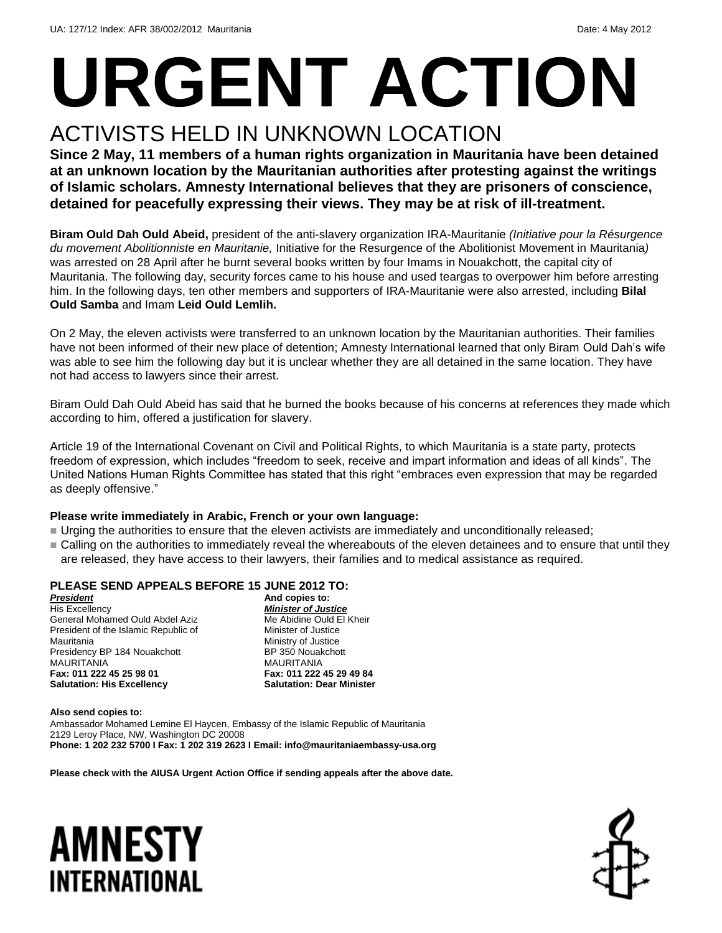# **URGENT ACTION**

### ACTIVISTS HELD IN UNKNOWN LOCATION

**Since 2 May, 11 members of a human rights organization in Mauritania have been detained at an unknown location by the Mauritanian authorities after protesting against the writings of Islamic scholars. Amnesty International believes that they are prisoners of conscience, detained for peacefully expressing their views. They may be at risk of ill-treatment.**

**Biram Ould Dah Ould Abeid,** president of the anti-slavery organization IRA-Mauritanie *(Initiative pour la Résurgence du movement Abolitionniste en Mauritanie,* Initiative for the Resurgence of the Abolitionist Movement in Mauritania*)* was arrested on 28 April after he burnt several books written by four Imams in Nouakchott, the capital city of Mauritania. The following day, security forces came to his house and used teargas to overpower him before arresting him. In the following days, ten other members and supporters of IRA-Mauritanie were also arrested, including **Bilal Ould Samba** and Imam **Leid Ould Lemlih.** 

On 2 May, the eleven activists were transferred to an unknown location by the Mauritanian authorities. Their families have not been informed of their new place of detention; Amnesty International learned that only Biram Ould Dah's wife was able to see him the following day but it is unclear whether they are all detained in the same location. They have not had access to lawyers since their arrest.

Biram Ould Dah Ould Abeid has said that he burned the books because of his concerns at references they made which according to him, offered a justification for slavery.

Article 19 of the International Covenant on Civil and Political Rights, to which Mauritania is a state party, protects freedom of expression, which includes "freedom to seek, receive and impart information and ideas of all kinds". The United Nations Human Rights Committee has stated that this right "embraces even expression that may be regarded as deeply offensive."

#### **Please write immediately in Arabic, French or your own language:**

- Urging the authorities to ensure that the eleven activists are immediately and unconditionally released;
- Calling on the authorities to immediately reveal the whereabouts of the eleven detainees and to ensure that until they are released, they have access to their lawyers, their families and to medical assistance as required.

#### **PLEASE SEND APPEALS BEFORE 15 JUNE 2012 TO:**

*President* His Excellency General Mohamed Ould Abdel Aziz President of the Islamic Republic of **Mauritania** Presidency BP 184 Nouakchott **MAURITANIA Fax: 011 222 45 25 98 01 Salutation: His Excellency**

**And copies to:**  *Minister of Justice* Me Abidine Ould El Kheir Minister of Justice Ministry of Justice BP 350 Nouakchott MAURITANIA **Fax: 011 222 45 29 49 84 Salutation: Dear Minister**

**Also send copies to:** Ambassador Mohamed Lemine El Haycen, Embassy of the Islamic Republic of Mauritania 2129 Leroy Place, NW, Washington DC 20008 **Phone: 1 202 232 5700 I Fax: 1 202 319 2623 I Email: info@mauritaniaembassy-usa.org**

**Please check with the AIUSA Urgent Action Office if sending appeals after the above date.**